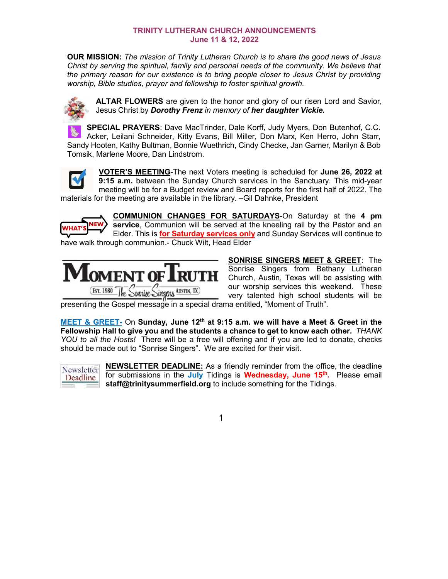## **TRINITY LUTHERAN CHURCH ANNOUNCEMENTS June 11 & 12, 2022**

**OUR MISSION:** *The mission of Trinity Lutheran Church is to share the good news of Jesus Christ by serving the spiritual, family and personal needs of the community. We believe that the primary reason for our existence is to bring people closer to Jesus Christ by providing worship, Bible studies, prayer and fellowship to foster spiritual growth.*



**ALTAR FLOWERS** are given to the honor and glory of our risen Lord and Savior, Jesus Christ by *Dorothy Frenz in memory of her daughter Vickie.*

**SPECIAL PRAYERS**: Dave MacTrinder, Dale Korff, Judy Myers, Don Butenhof, C.C. Acker, Leilani Schneider, Kitty Evans, Bill Miller, Don Marx, Ken Herro, John Starr, Sandy Hooten, Kathy Bultman, Bonnie Wuethrich, Cindy Checke, Jan Garner, Marilyn & Bob Tomsik, Marlene Moore, Dan Lindstrom.



**VOTER'S MEETING**-The next Voters meeting is scheduled for **June 26, 2022 at 9:15 a.m.** between the Sunday Church services in the Sanctuary. This mid-year meeting will be for a Budget review and Board reports for the first half of 2022. The materials for the meeting are available in the library. –Gil Dahnke, President



**COMMUNION CHANGES FOR SATURDAYS**-On Saturday at the **4 pm service**, Communion will be served at the kneeling rail by the Pastor and an Elder. This is **for Saturday services only** and Sunday Services will continue to have walk through communion.- Chuck Wilt, Head Elder



**SONRISE SINGERS MEET & GREET**: The Sonrise Singers from Bethany Lutheran Church, Austin, Texas will be assisting with our worship services this weekend. These very talented high school students will be

presenting the Gospel message in a special drama entitled, "Moment of Truth".

**MEET & GREET-** On **Sunday, June 12th at 9:15 a.m. we will have a Meet & Greet in the Fellowship Hall to give you and the students a chance to get to know each other.** *THANK YOU to all the Hosts!* There will be a free will offering and if you are led to donate, checks should be made out to "Sonrise Singers". We are excited for their visit.



**NEWSLETTER DEADLINE:** As a friendly reminder from the office, the deadline for submissions in the **July** Tidings is **Wednesday, June 15th.** Please email **staff@trinitysummerfield.org** to include something for the Tidings.

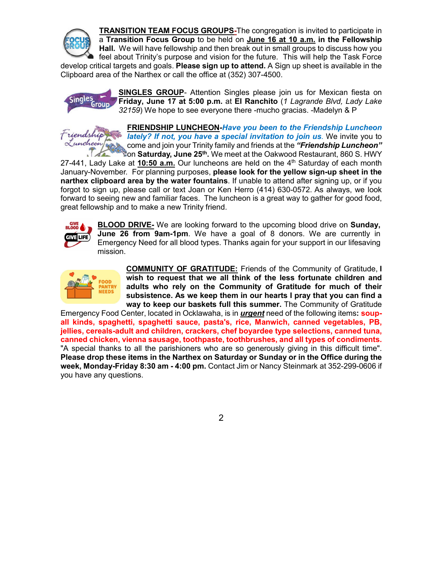

**TRANSITION TEAM FOCUS GROUPS-**The congregation is invited to participate in a **Transition Focus Group** to be held on **June 16 at 10 a.m. in the Fellowship Hall.** We will have fellowship and then break out in small groups to discuss how you feel about Trinity's purpose and vision for the future. This will help the Task Force develop critical targets and goals. **Please sign up to attend.** A Sign up sheet is available in the

Clipboard area of the Narthex or call the office at (352) 307-4500.



**SINGLES GROUP**- Attention Singles please join us for Mexican fiesta on **Friday, June 17 at 5:00 p.m.** at **El Ranchito** (*1 Lagrande Blvd, Lady Lake 32159*) We hope to see everyone there -mucho gracias. -Madelyn & P

Friends Luncheon!

**FRIENDSHIP LUNCHEON***-Have you been to the Friendship Luncheon lately? If not, you have a special invitation to join us.* We invite you to come and join your Trinity family and friends at the *"Friendship Luncheon"* on **Saturday, June 25th.** We meet at the Oakwood Restaurant, 860 S. HWY

27-441, Lady Lake at **10:50 a.m.** Our luncheons are held on the 4th Saturday of each month January-November. For planning purposes, **please look for the yellow sign-up sheet in the narthex clipboard area by the water fountains**. If unable to attend after signing up, or if you forgot to sign up, please call or text Joan or Ken Herro (414) 630-0572. As always, we look forward to seeing new and familiar faces. The luncheon is a great way to gather for good food, great fellowship and to make a new Trinity friend.



**BLOOD DRIVE-** We are looking forward to the upcoming blood drive on **Sunday, June 26 from 9am-1pm**. We have a goal of 8 donors. We are currently in Emergency Need for all blood types. Thanks again for your support in our lifesaving mission.



**COMMUNITY OF GRATITUDE:** Friends of the Community of Gratitude, **I wish to request that we all think of the less fortunate children and adults who rely on the Community of Gratitude for much of their subsistence. As we keep them in our hearts I pray that you can find a way to keep our baskets full this summer.** The Community of Gratitude

Emergency Food Center, located in Ocklawaha, is in *urgent* need of the following items**: soupall kinds, spaghetti, spaghetti sauce, pasta's, rice, Manwich, canned vegetables, PB, jellies, cereals-adult and children, crackers, chef boyardee type selections, canned tuna, canned chicken, vienna sausage, toothpaste, toothbrushes, and all types of condiments.**  "A special thanks to all the parishioners who are so generously giving in this difficult time". **Please drop these items in the Narthex on Saturday or Sunday or in the Office during the week, Monday-Friday 8:30 am - 4:00 pm.** Contact Jim or Nancy Steinmark at 352-299-0606 if you have any questions.

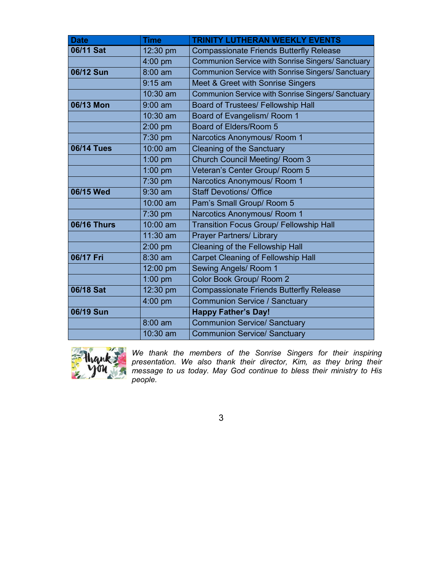| <b>Date</b>        | <b>Time</b>       | <b>TRINITY LUTHERAN WEEKLY EVENTS</b>                    |  |  |
|--------------------|-------------------|----------------------------------------------------------|--|--|
| 06/11 Sat          | 12:30 pm          | <b>Compassionate Friends Butterfly Release</b>           |  |  |
|                    | 4:00 pm           | <b>Communion Service with Sonrise Singers/ Sanctuary</b> |  |  |
| 06/12 Sun          | $8:00$ am         | <b>Communion Service with Sonrise Singers/ Sanctuary</b> |  |  |
|                    | $9:15$ am         | Meet & Greet with Sonrise Singers                        |  |  |
|                    | 10:30 am          | Communion Service with Sonrise Singers/ Sanctuary        |  |  |
| 06/13 Mon          | $9:00$ am         | <b>Board of Trustees/ Fellowship Hall</b>                |  |  |
|                    | $10:30$ am        | Board of Evangelism/ Room 1                              |  |  |
|                    | $2:00$ pm         | <b>Board of Elders/Room 5</b>                            |  |  |
|                    | 7:30 pm           | Narcotics Anonymous/ Room 1                              |  |  |
| <b>06/14 Tues</b>  | 10:00 am          | <b>Cleaning of the Sanctuary</b>                         |  |  |
|                    | 1:00 pm           | <b>Church Council Meeting/ Room 3</b>                    |  |  |
|                    | 1:00 pm           | Veteran's Center Group/ Room 5                           |  |  |
|                    | 7:30 pm           | Narcotics Anonymous/ Room 1                              |  |  |
| 06/15 Wed          | $9:30$ am         | <b>Staff Devotions/ Office</b>                           |  |  |
|                    | 10:00 am          | Pam's Small Group/ Room 5                                |  |  |
|                    | 7:30 pm           | Narcotics Anonymous/ Room 1                              |  |  |
| <b>06/16 Thurs</b> | 10:00 am          | <b>Transition Focus Group/ Fellowship Hall</b>           |  |  |
|                    | 11:30 am          | <b>Prayer Partners/ Library</b>                          |  |  |
|                    | $2:00$ pm         | Cleaning of the Fellowship Hall                          |  |  |
| 06/17 Fri          | 8:30 am           | <b>Carpet Cleaning of Fellowship Hall</b>                |  |  |
|                    | 12:00 pm          | Sewing Angels/ Room 1                                    |  |  |
|                    | $1:00$ pm         | Color Book Group/ Room 2                                 |  |  |
| 06/18 Sat          | 12:30 pm          | <b>Compassionate Friends Butterfly Release</b>           |  |  |
|                    | 4:00 pm           | <b>Communion Service / Sanctuary</b>                     |  |  |
| 06/19 Sun          |                   | <b>Happy Father's Day!</b>                               |  |  |
|                    | $8:00 \text{ am}$ | <b>Communion Service/ Sanctuary</b>                      |  |  |
|                    | 10:30 am          | <b>Communion Service/ Sanctuary</b>                      |  |  |



*We thank the members of the Sonrise Singers for their inspiring presentation. We also thank their director, Kim, as they bring their message to us today. May God continue to bless their ministry to His people.* 

3